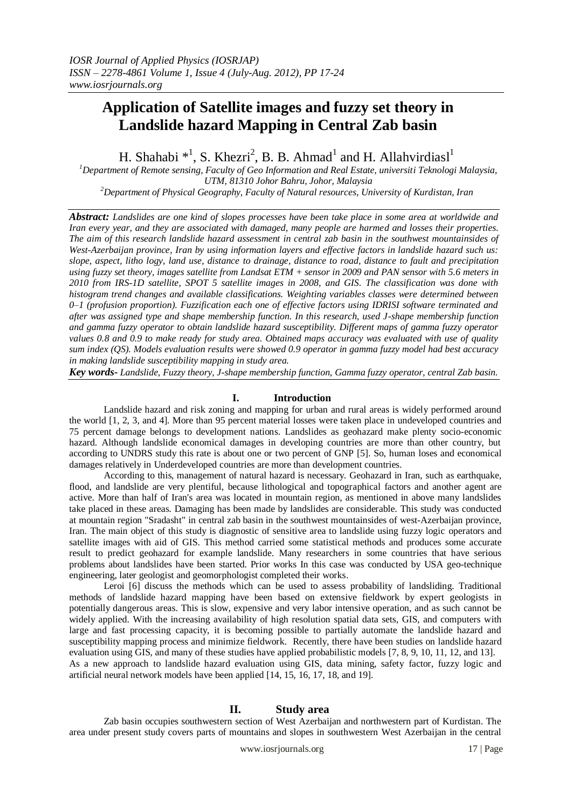# **Application of Satellite images and fuzzy set theory in Landslide hazard Mapping in Central Zab basin**

H. Shahabi  $*^1$ , S. Khezri<sup>2</sup>, B. B. Ahmad<sup>1</sup> and H. Allahvirdiasl<sup>1</sup>

*<sup>1</sup>Department of Remote sensing, Faculty of Geo Information and Real Estate, universiti Teknologi Malaysia, UTM, 81310 Johor Bahru, Johor, Malaysia <sup>2</sup>Department of Physical Geography, Faculty of Natural resources, University of Kurdistan, Iran* 

*Abstract: Landslides are one kind of slopes processes have been take place in some area at worldwide and Iran every year, and they are associated with damaged, many people are harmed and losses their properties. The aim of this research landslide hazard assessment in central zab basin in the southwest mountainsides of West-Azerbaijan province, Iran by using information layers and effective factors in landslide hazard such us: slope, aspect, litho logy, land use, distance to drainage, distance to road, distance to fault and precipitation using fuzzy set theory, images satellite from Landsat ETM + sensor in 2009 and PAN sensor with 5.6 meters in 2010 from IRS-1D satellite, SPOT 5 satellite images in 2008, and GIS. The classification was done with histogram trend changes and available classifications. Weighting variables classes were determined between 0–1 (profusion proportion). Fuzzification each one of effective factors using IDRISI software terminated and after was assigned type and shape membership function. In this research, used J-shape membership function and gamma fuzzy operator to obtain landslide hazard susceptibility. Different maps of gamma fuzzy operator values 0.8 and 0.9 to make ready for study area. Obtained maps accuracy was evaluated with use of quality sum index (QS). Models evaluation results were showed 0.9 operator in gamma fuzzy model had best accuracy in making landslide susceptibility mapping in study area.*

*Key words- Landslide, Fuzzy theory, J-shape membership function, Gamma fuzzy operator, central Zab basin.*

# **I. Introduction**

Landslide hazard and risk zoning and mapping for urban and rural areas is widely performed around the world [1, 2, 3, and 4]. More than 95 percent material losses were taken place in undeveloped countries and 75 percent damage belongs to development nations. Landslides as geohazard make plenty socio-economic hazard. Although landslide economical damages in developing countries are more than other country, but according to UNDRS study this rate is about one or two percent of GNP [5]. So, human loses and economical damages relatively in Underdeveloped countries are more than development countries.

According to this, management of natural hazard is necessary. Geohazard in Iran, such as earthquake, flood, and landslide are very plentiful, because lithological and topographical factors and another agent are active. More than half of Iran's area was located in mountain region, as mentioned in above many landslides take placed in these areas. Damaging has been made by landslides are considerable. This study was conducted at mountain region "Sradasht" in central zab basin in the southwest mountainsides of west-Azerbaijan province, Iran. The main object of this study is diagnostic of sensitive area to landslide using fuzzy logic operators and satellite images with aid of GIS. This method carried some statistical methods and produces some accurate result to predict geohazard for example landslide. Many researchers in some countries that have serious problems about landslides have been started. Prior works In this case was conducted by USA geo-technique engineering, later geologist and geomorphologist completed their works.

Leroi [6] discuss the methods which can be used to assess probability of landsliding. Traditional methods of landslide hazard mapping have been based on extensive fieldwork by expert geologists in potentially dangerous areas. This is slow, expensive and very labor intensive operation, and as such cannot be widely applied. With the increasing availability of high resolution spatial data sets, GIS, and computers with large and fast processing capacity, it is becoming possible to partially automate the landslide hazard and susceptibility mapping process and minimize fieldwork. Recently, there have been studies on landslide hazard evaluation using GIS, and many of these studies have applied probabilistic models [7, 8, 9, 10, 11, 12, and 13]. As a new approach to landslide hazard evaluation using GIS, data mining, safety factor, fuzzy logic and artificial neural network models have been applied [14, 15, 16, 17, 18, and 19].

## **II. Study area**

Zab basin occupies southwestern section of West Azerbaijan and northwestern part of Kurdistan. The area under present study covers parts of mountains and slopes in southwestern West Azerbaijan in the central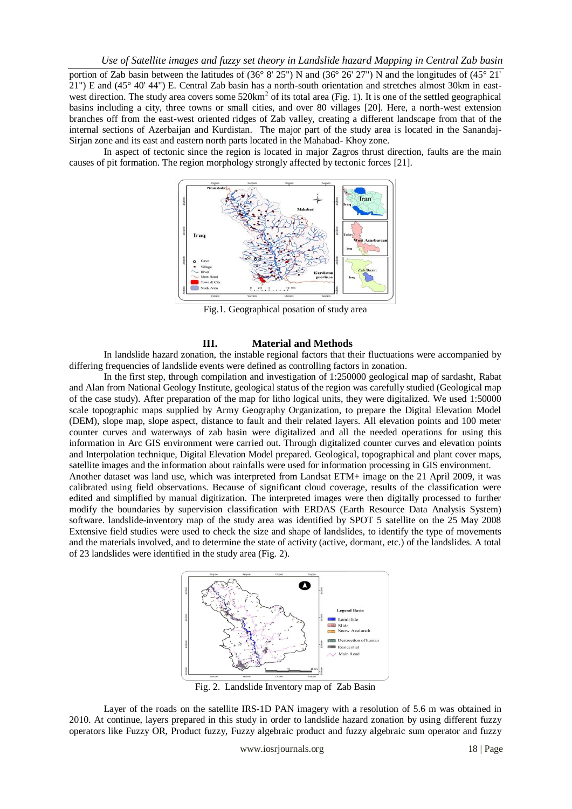portion of Zab basin between the latitudes of (36° 8' 25") N and (36° 26' 27") N and the longitudes of (45° 21' 21") E and (45° 40' 44") E. Central Zab basin has a north-south orientation and stretches almost 30km in eastwest direction. The study area covers some 520km<sup>2</sup> of its total area (Fig. 1). It is one of the settled geographical basins including a city, three towns or small cities, and over 80 villages [20]. Here, a north-west extension branches off from the east-west oriented ridges of Zab valley, creating a different landscape from that of the internal sections of Azerbaijan and Kurdistan. The major part of the study area is located in the Sanandaj-Sirjan zone and its east and eastern north parts located in the Mahabad- Khoy zone.

In aspect of tectonic since the region is located in major Zagros thrust direction, faults are the main causes of pit formation. The region morphology strongly affected by tectonic forces [21].



Fig.1. Geographical posation of study area

### **III. Material and Methods**

In landslide hazard zonation, the instable regional factors that their fluctuations were accompanied by differing frequencies of landslide events were defined as controlling factors in zonation.

In the first step, through compilation and investigation of 1:250000 geological map of sardasht, Rabat and Alan from National Geology Institute, geological status of the region was carefully studied (Geological map of the case study). After preparation of the map for litho logical units, they were digitalized. We used 1:50000 scale topographic maps supplied by Army Geography Organization, to prepare the Digital Elevation Model (DEM), slope map, slope aspect, distance to fault and their related layers. All elevation points and 100 meter counter curves and waterways of zab basin were digitalized and all the needed operations for using this information in Arc GIS environment were carried out. Through digitalized counter curves and elevation points and Interpolation technique, Digital Elevation Model prepared. Geological, topographical and plant cover maps, satellite images and the information about rainfalls were used for information processing in GIS environment. Another dataset was land use, which was interpreted from Landsat ETM+ image on the 21 April 2009, it was calibrated using field observations. Because of significant cloud coverage, results of the classification were edited and simplified by manual digitization. The interpreted images were then digitally processed to further modify the boundaries by supervision classification with ERDAS (Earth Resource Data Analysis System) software. landslide-inventory map of the study area was identified by SPOT 5 satellite on the 25 May 2008 Extensive field studies were used to check the size and shape of landslides, to identify the type of movements and the materials involved, and to determine the state of activity (active, dormant, etc.) of the landslides. A total of 23 landslides were identified in the study area (Fig. 2).



Fig. 2. Landslide Inventory map of Zab Basin

Layer of the roads on the satellite IRS-1D PAN imagery with a resolution of 5.6 m was obtained in 2010. At continue, layers prepared in this study in order to landslide hazard zonation by using different fuzzy operators like Fuzzy OR, Product fuzzy, Fuzzy algebraic product and fuzzy algebraic sum operator and fuzzy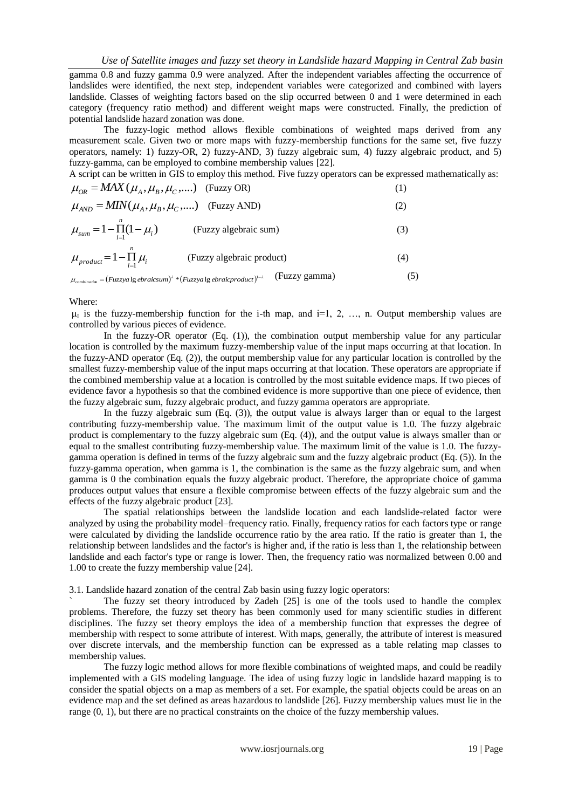gamma 0.8 and fuzzy gamma 0.9 were analyzed. After the independent variables affecting the occurrence of landslides were identified, the next step, independent variables were categorized and combined with layers landslide. Classes of weighting factors based on the slip occurred between 0 and 1 were determined in each category (frequency ratio method) and different weight maps were constructed. Finally, the prediction of potential landslide hazard zonation was done.

The fuzzy-logic method allows flexible combinations of weighted maps derived from any measurement scale. Given two or more maps with fuzzy-membership functions for the same set, five fuzzy operators, namely: 1) fuzzy-OR, 2) fuzzy-AND, 3) fuzzy algebraic sum, 4) fuzzy algebraic product, and 5) fuzzy-gamma, can be employed to combine membership values [22].

A script can be written in GIS to employ this method. Five fuzzy operators can be expressed mathematically as:

$$
\mu_{OR} = MAX(\mu_A, \mu_B, \mu_C, \dots) \quad \text{(Fuzzy OR)} \tag{1}
$$
\n
$$
\mu_{AND} = MIN(\mu_A, \mu_B, \mu_C, \dots) \quad \text{(Fuzzy AND)} \tag{2}
$$
\n
$$
\mu_{sum} = 1 - \prod_{i=1}^{n} (1 - \mu_i) \quad \text{(Fuzzy algebraic sum)} \tag{3}
$$
\n
$$
\mu_{product} = 1 - \prod_{i=1}^{n} \mu_i \quad \text{(Fuzzy algebraic product)} \tag{4}
$$

 $\mu_{\textit{\tiny{combinating}}} = (Fuzzy a \lg \textit{ebraicsum})^\lambda * (Fuzzy a \lg \textit{ebraicproduct})^{1-\lambda}$  (Fuzzy gamma) (5)

Where:

 $\mu_I$  is the fuzzy-membership function for the i-th map, and i=1, 2, ..., n. Output membership values are controlled by various pieces of evidence.

In the fuzzy-OR operator (Eq. (1)), the combination output membership value for any particular location is controlled by the maximum fuzzy-membership value of the input maps occurring at that location. In the fuzzy-AND operator (Eq. (2)), the output membership value for any particular location is controlled by the smallest fuzzy-membership value of the input maps occurring at that location. These operators are appropriate if the combined membership value at a location is controlled by the most suitable evidence maps. If two pieces of evidence favor a hypothesis so that the combined evidence is more supportive than one piece of evidence, then the fuzzy algebraic sum, fuzzy algebraic product, and fuzzy gamma operators are appropriate.

In the fuzzy algebraic sum (Eq. (3)), the output value is always larger than or equal to the largest contributing fuzzy-membership value. The maximum limit of the output value is 1.0. The fuzzy algebraic product is complementary to the fuzzy algebraic sum (Eq. (4)), and the output value is always smaller than or equal to the smallest contributing fuzzy-membership value. The maximum limit of the value is 1.0. The fuzzygamma operation is defined in terms of the fuzzy algebraic sum and the fuzzy algebraic product (Eq. (5)). In the fuzzy-gamma operation, when gamma is 1, the combination is the same as the fuzzy algebraic sum, and when gamma is 0 the combination equals the fuzzy algebraic product. Therefore, the appropriate choice of gamma produces output values that ensure a flexible compromise between effects of the fuzzy algebraic sum and the effects of the fuzzy algebraic product [23].

The spatial relationships between the landslide location and each landslide-related factor were analyzed by using the probability model–frequency ratio. Finally, frequency ratios for each factors type or range were calculated by dividing the landslide occurrence ratio by the area ratio. If the ratio is greater than 1, the relationship between landslides and the factor's is higher and, if the ratio is less than 1, the relationship between landslide and each factor's type or range is lower. Then, the frequency ratio was normalized between 0.00 and 1.00 to create the fuzzy membership value [24].

3.1. Landslide hazard zonation of the central Zab basin using fuzzy logic operators:

The fuzzy set theory introduced by Zadeh [25] is one of the tools used to handle the complex problems. Therefore, the fuzzy set theory has been commonly used for many scientific studies in different disciplines. The fuzzy set theory employs the idea of a membership function that expresses the degree of membership with respect to some attribute of interest. With maps, generally, the attribute of interest is measured over discrete intervals, and the membership function can be expressed as a table relating map classes to membership values.

The fuzzy logic method allows for more flexible combinations of weighted maps, and could be readily implemented with a GIS modeling language. The idea of using fuzzy logic in landslide hazard mapping is to consider the spatial objects on a map as members of a set. For example, the spatial objects could be areas on an evidence map and the set defined as areas hazardous to landslide [26]. Fuzzy membership values must lie in the range (0, 1), but there are no practical constraints on the choice of the fuzzy membership values.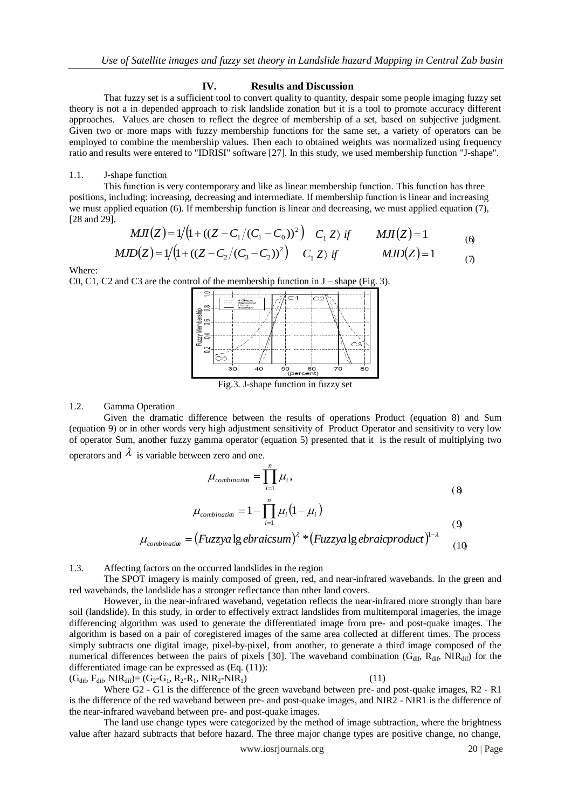### **IV. Results and Discussion**

That fuzzy set is a sufficient tool to convert quality to quantity, despair some people imaging fuzzy set theory is not a in depended approach to risk landslide zonation but it is a tool to promote accuracy different approaches. Values are chosen to reflect the degree of membership of a set, based on subjective judgment. Given two or more maps with fuzzy membership functions for the same set, a variety of operators can be employed to combine the membership values. Then each to obtained weights was normalized using frequency ratio and results were entered to "IDRISI" software [27]. In this study, we used membership function "J-shape".

# 1.1. J-shape function

This function is very contemporary and like as linear membership function. This function has three positions, including: increasing, decreasing and intermediate. If membership function is linear and increasing we must applied equation (6). If membership function is linear and decreasing, we must applied equation (7), [28 and 29].

$$
MJI(Z) = 1/(1 + ((Z - C_1/(C_1 - C_0))^2) \quad C_1 Z \rangle \quad \text{if} \quad MJ(Z) = 1
$$

$$
MJD(Z) = 1/(1 + ((Z - C_2/(C_3 - C_2))^2) \quad C_1 Z \rangle \text{ if} \qquad MJD(Z) = 1 \qquad (7)
$$

Where:

C0, C1, C2 and C3 are the control of the membership function in J – shape (Fig. 3).



Fig.3. J-shape function in fuzzy set

# 1.2. Gamma Operation

Given the dramatic difference between the results of operations Product (equation 8) and Sum (equation 9) or in other words very high adjustment sensitivity of Product Operator and sensitivity to very low of operator Sum, another fuzzy gamma operator (equation 5) presented that it is the result of multiplying two operators and  $\lambda$  is variable between zero and one.

$$
\mu_{combination} = \prod_{i=1}^{n} \mu_i,
$$
\n(8)

$$
\mu_{combination} = 1 - \prod_{i=1}^{n} \mu_i (1 - \mu_i)
$$
\n(9)

$$
\mu_{\textit{combination}} = (Fuzzy a \lg e \textit{braicsum})^{\lambda} * (Fuzzy a \lg e \textit{braicproduct})^{1-\lambda} \tag{10}
$$

## 1.3. Affecting factors on the occurred landslides in the region

The SPOT imagery is mainly composed of green, red, and near-infrared wavebands. In the green and red wavebands, the landslide has a stronger reflectance than other land covers.

However, in the near-infrared waveband, vegetation reflects the near-infrared more strongly than bare soil (landslide). In this study, in order to effectively extract landslides from multitemporal imageries, the image differencing algorithm was used to generate the differentiated image from pre- and post-quake images. The algorithm is based on a pair of coregistered images of the same area collected at different times. The process simply subtracts one digital image, pixel-by-pixel, from another, to generate a third image composed of the numerical differences between the pairs of pixels [30]. The waveband combination  $(G_{dif}, \overline{R}_{dif}, \overline{NIR}_{dif})$  for the differentiated image can be expressed as  $(Eq. (11))$ :

 $(G_{\text{dif}}^{\text{f}}, F_{\text{dif}}^{\text{f}}, \text{NIR}_{\text{dif}}^{\text{f}}) = (G_2 - G_1, R_2 - R_1, \text{NIR}_2 - \text{NIR}_1)$  (11)

Where G2 - G1 is the difference of the green waveband between pre- and post-quake images, R2 - R1 is the difference of the red waveband between pre- and post-quake images, and NIR2 - NIR1 is the difference of the near-infrared waveband between pre- and post-quake images.

The land use change types were categorized by the method of image subtraction, where the brightness value after hazard subtracts that before hazard. The three major change types are positive change, no change,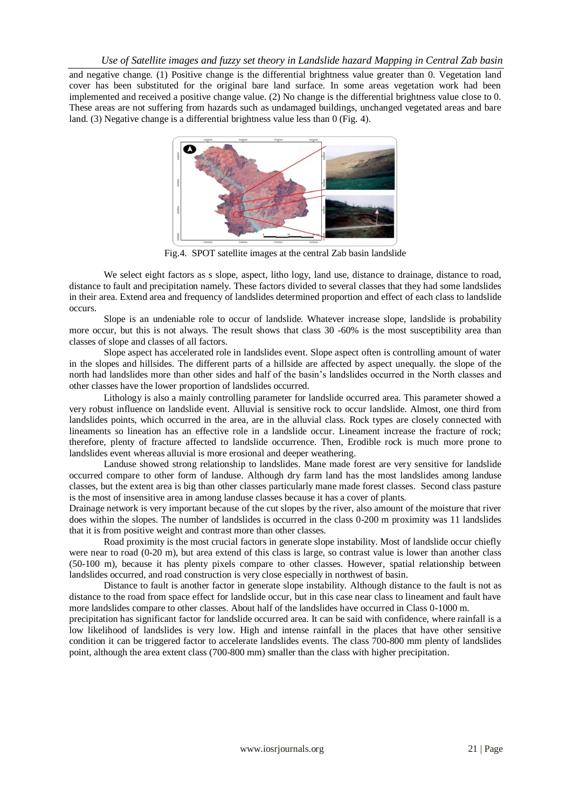and negative change. (1) Positive change is the differential brightness value greater than 0. Vegetation land cover has been substituted for the original bare land surface. In some areas vegetation work had been implemented and received a positive change value. (2) No change is the differential brightness value close to 0. These areas are not suffering from hazards such as undamaged buildings, unchanged vegetated areas and bare land. (3) Negative change is a differential brightness value less than 0 (Fig. 4).



Fig.4. SPOT satellite images at the central Zab basin landslide

We select eight factors as s slope, aspect, litho logy, land use, distance to drainage, distance to road, distance to fault and precipitation namely. These factors divided to several classes that they had some landslides in their area. Extend area and frequency of landslides determined proportion and effect of each class to landslide occurs.

Slope is an undeniable role to occur of landslide. Whatever increase slope, landslide is probability more occur, but this is not always. The result shows that class 30 -60% is the most susceptibility area than classes of slope and classes of all factors.

Slope aspect has accelerated role in landslides event. Slope aspect often is controlling amount of water in the slopes and hillsides. The different parts of a hillside are affected by aspect unequally. the slope of the north had landslides more than other sides and half of the basin's landslides occurred in the North classes and other classes have the lower proportion of landslides occurred.

Lithology is also a mainly controlling parameter for landslide occurred area. This parameter showed a very robust influence on landslide event. Alluvial is sensitive rock to occur landslide. Almost, one third from landslides points, which occurred in the area, are in the alluvial class. Rock types are closely connected with lineaments so lineation has an effective role in a landslide occur. Lineament increase the fracture of rock; therefore, plenty of fracture affected to landslide occurrence. Then, Erodible rock is much more prone to landslides event whereas alluvial is more erosional and deeper weathering.

Landuse showed strong relationship to landslides. Mane made forest are very sensitive for landslide occurred compare to other form of landuse. Although dry farm land has the most landslides among landuse classes, but the extent area is big than other classes particularly mane made forest classes. Second class pasture is the most of insensitive area in among landuse classes because it has a cover of plants.

Drainage network is very important because of the cut slopes by the river, also amount of the moisture that river does within the slopes. The number of landslides is occurred in the class 0-200 m proximity was 11 landslides that it is from positive weight and contrast more than other classes.

Road proximity is the most crucial factors in generate slope instability. Most of landslide occur chiefly were near to road (0-20 m), but area extend of this class is large, so contrast value is lower than another class (50-100 m), because it has plenty pixels compare to other classes. However, spatial relationship between landslides occurred, and road construction is very close especially in northwest of basin.

Distance to fault is another factor in generate slope instability. Although distance to the fault is not as distance to the road from space effect for landslide occur, but in this case near class to lineament and fault have more landslides compare to other classes. About half of the landslides have occurred in Class 0-1000 m.

precipitation has significant factor for landslide occurred area. It can be said with confidence, where rainfall is a low likelihood of landslides is very low. High and intense rainfall in the places that have other sensitive condition it can be triggered factor to accelerate landslides events. The class 700-800 mm plenty of landslides point, although the area extent class (700-800 mm) smaller than the class with higher precipitation.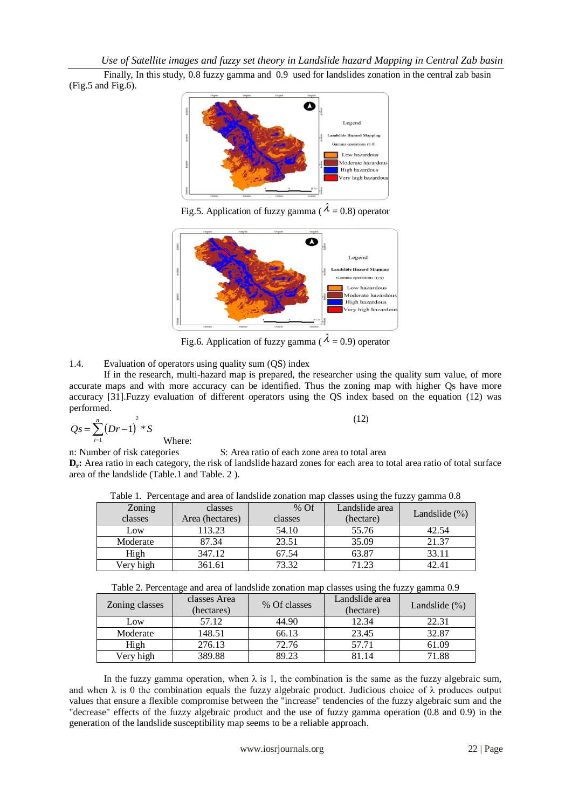*Use of Satellite images and fuzzy set theory in Landslide hazard Mapping in Central Zab basin*

Finally, In this study, 0.8 fuzzy gamma and 0.9 used for landslides zonation in the central zab basin (Fig.5 and Fig.6).



Fig.5. Application of fuzzy gamma (  $\lambda$  = 0.8) operator



Fig.6. Application of fuzzy gamma ( $\lambda = 0.9$ ) operator

# 1.4. Evaluation of operators using quality sum (QS) index

If in the research, multi-hazard map is prepared, the researcher using the quality sum value, of more accurate maps and with more accuracy can be identified. Thus the zoning map with higher Qs have more accuracy [31].Fuzzy evaluation of different operators using the QS index based on the equation (12) was performed.

$$
Qs = \sum_{i=1}^{n} (Dr-1)^2 * S
$$

Where:

 $(12)$ 

n: Number of risk categories S: Area ratio of each zone area to total area **D<sub>r</sub>**: Area ratio in each category, the risk of landslide hazard zones for each area to total area ratio of total surface area of the landslide (Table.1 and Table. 2 ).

| Zoning<br>classes | classes<br>Area (hectares) | % Of<br>classes | Landslide area<br>(hectare) | - -<br>Landslide $(\% )$ |
|-------------------|----------------------------|-----------------|-----------------------------|--------------------------|
| Low               | 113.23                     | 54.10           | 55.76                       | 42.54                    |
| Moderate          | 87.34                      | 23.51           | 35.09                       | 21.37                    |
| High              | 347.12                     | 67.54           | 63.87                       | 33.11                    |
| Very high         | 361.61                     | 73.32           | 71.23                       |                          |

Table 1. Percentage and area of landslide zonation map classes using the fuzzy gamma 0.8

| Table 2. Percentage and area of landslide zonation map classes using the fuzzy gamma 0.9 |  |  |
|------------------------------------------------------------------------------------------|--|--|
|                                                                                          |  |  |

| Zoning classes | classes Area<br>(hectares) | % Of classes | Landslide area<br>(hectare) | Landslide $(\% )$ |
|----------------|----------------------------|--------------|-----------------------------|-------------------|
| Low            | 57.12                      | 44.90        | 12.34                       | 22.31             |
| Moderate       | 148.51                     | 66.13        | 23.45                       | 32.87             |
| High           | 276.13                     | 72.76        | 57.71                       | 61.09             |
| Very high      | 389.88                     | 89.23        | 81.14                       | 71.88             |

In the fuzzy gamma operation, when  $\lambda$  is 1, the combination is the same as the fuzzy algebraic sum, and when  $\lambda$  is 0 the combination equals the fuzzy algebraic product. Judicious choice of  $\lambda$  produces output values that ensure a flexible compromise between the "increase" tendencies of the fuzzy algebraic sum and the "decrease" effects of the fuzzy algebraic product and the use of fuzzy gamma operation (0.8 and 0.9) in the generation of the landslide susceptibility map seems to be a reliable approach.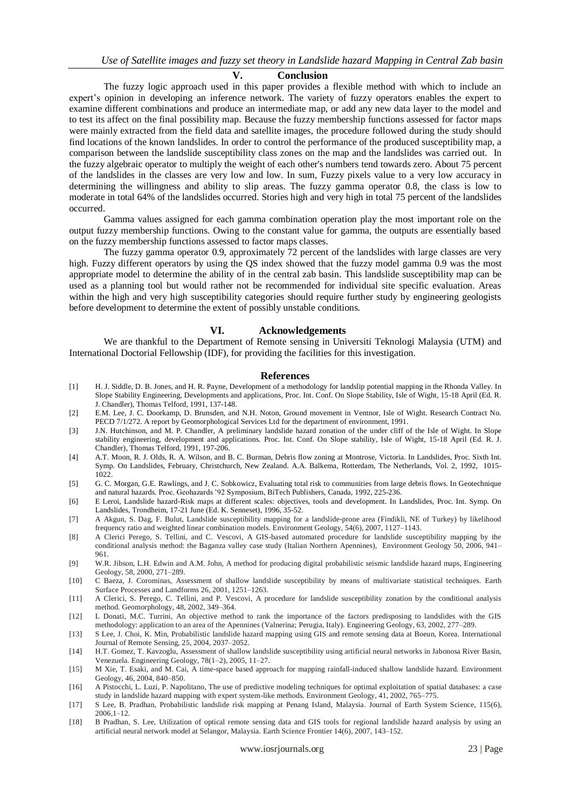#### **V. Conclusion**

The fuzzy logic approach used in this paper provides a flexible method with which to include an expert's opinion in developing an inference network. The variety of fuzzy operators enables the expert to examine different combinations and produce an intermediate map, or add any new data layer to the model and to test its affect on the final possibility map. Because the fuzzy membership functions assessed for factor maps were mainly extracted from the field data and satellite images, the procedure followed during the study should find locations of the known landslides. In order to control the performance of the produced susceptibility map, a comparison between the landslide susceptibility class zones on the map and the landslides was carried out. In the fuzzy algebraic operator to multiply the weight of each other's numbers tend towards zero. About 75 percent of the landslides in the classes are very low and low. In sum, Fuzzy pixels value to a very low accuracy in determining the willingness and ability to slip areas. The fuzzy gamma operator 0.8, the class is low to moderate in total 64% of the landslides occurred. Stories high and very high in total 75 percent of the landslides occurred.

Gamma values assigned for each gamma combination operation play the most important role on the output fuzzy membership functions. Owing to the constant value for gamma, the outputs are essentially based on the fuzzy membership functions assessed to factor maps classes.

The fuzzy gamma operator 0.9, approximately 72 percent of the landslides with large classes are very high. Fuzzy different operators by using the QS index showed that the fuzzy model gamma 0.9 was the most appropriate model to determine the ability of in the central zab basin. This landslide susceptibility map can be used as a planning tool but would rather not be recommended for individual site specific evaluation. Areas within the high and very high susceptibility categories should require further study by engineering geologists before development to determine the extent of possibly unstable conditions.

#### **VI. Acknowledgements**

We are thankful to the Department of Remote sensing in Universiti Teknologi Malaysia (UTM) and International Doctorial Fellowship (IDF), for providing the facilities for this investigation.

#### **References**

- [1] H. J. Siddle, D. B. Jones, and H. R. Payne, Development of a methodology for landslip potential mapping in the Rhonda Valley. In Slope Stability Engineering, Developments and applications, Proc. Int. Conf. On Slope Stability, Isle of Wight, 15-18 April (Ed. R. J. Chandler), Thomas Telford, 1991, 137-148.
- [2] E.M. Lee, J. C. Doorkamp, D. Brunsden, and N.H. Noton, Ground movement in Ventnor, Isle of Wight. Research Contract No. PECD 7/1/272. A report by Geomorphological Services Ltd for the department of environment, 1991.
- [3] J.N. Hutchinson, and M. P. Chandler, A preliminary landslide hazard zonation of the under cliff of the Isle of Wight. In Slope stability engineering, development and applications. Proc. Int. Conf. On Slope stability, Isle of Wight, 15-18 April (Ed. R. J. Chandler), Thomas Telford, 1991, 197-206.
- [4] A.T. Moon, R. J. Olds, R. A. Wilson, and B. C. Burman, Debris flow zoning at Montrose, Victoria. In Landslides, Proc. Sixth Int. Symp. On Landslides, February, Christchurch, New Zealand. A.A. Balkema, Rotterdam, The Netherlands, Vol. 2, 1992, 1015- 1022.
- [5] G. C. Morgan, G.E. Rawlings, and J. C. Sobkowicz, Evaluating total risk to communities from large debris flows. In Geotechnique and natural hazards. Proc. Geohazards '92 Symposium, BiTech Publishers, Canada, 1992, 225-236.
- [6] E Leroi, Landslide hazard-Risk maps at different scales: objectives, tools and development. In Landslides, Proc. Int. Symp. On Landslides, Trondheim, 17-21 June (Ed. K. Senneset), 1996, 35-52.
- [7] A Akgun, S. Dag, F. Bulut, Landslide susceptibility mapping for a landslide-prone area (Findikli, NE of Turkey) by likelihood frequency ratio and weighted linear combination models. Environment Geology, 54(6), 2007, 1127–1143.
- [8] A Clerici Perego, S. Tellini, and C. Vescovi, A GIS-based automated procedure for landslide susceptibility mapping by the conditional analysis method: the Baganza valley case study (Italian Northern Apennines), Environment Geology 50, 2006, 941– 961.
- [9] W.R. Jibson, L.H. Edwin and A.M. John, A method for producing digital probabilistic seismic landslide hazard maps, Engineering Geology, 58, 2000, 271–289.
- [10] C Baeza, J. Corominas, Assessment of shallow landslide susceptibility by means of multivariate statistical techniques. Earth Surface Processes and Landforms 26, 2001, 1251–1263.
- [11] A Clerici, S. Perego, C. Tellini, and P. Vescovi, A procedure for landslide susceptibility zonation by the conditional analysis method. Geomorphology, 48, 2002, 349–364.
- [12] L Donati, M.C. Turrini, An objective method to rank the importance of the factors predisposing to landslides with the GIS methodology: application to an area of the Apennines (Valnerina; Perugia, Italy). Engineering Geology, 63, 2002, 277–289.
- [13] S Lee, J. Choi, K. Min, Probabilistic landslide hazard mapping using GIS and remote sensing data at Boeun, Korea. International Journal of Remote Sensing, 25, 2004, 2037–2052.
- [14] H.T. Gomez, T. Kavzoglu, Assessment of shallow landslide susceptibility using artificial neural networks in Jabonosa River Basin, Venezuela. Engineering Geology, 78(1–2), 2005, 11–27.
- [15] M Xie, T. Esaki, and M. Cai, A time-space based approach for mapping rainfall-induced shallow landslide hazard. Environment Geology, 46, 2004, 840–850.
- [16] A Pistocchi, L. Luzi, P. Napolitano, The use of predictive modeling techniques for optimal exploitation of spatial databases: a case study in landslide hazard mapping with expert system-like methods. Environment Geology, 41, 2002, 765–775.
- [17] S Lee, B. Pradhan, Probabilistic landslide risk mapping at Penang Island, Malaysia. Journal of Earth System Science, 115(6), 2006,1–12.
- [18] B Pradhan, S. Lee, Utilization of optical remote sensing data and GIS tools for regional landslide hazard analysis by using an artificial neural network model at Selangor, Malaysia. Earth Science Frontier 14(6), 2007, 143–152.